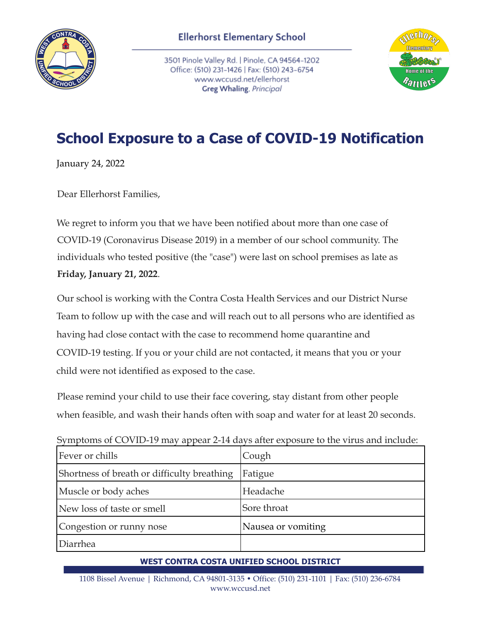

3501 Pinole Valley Rd. | Pinole, CA 94564-1202 Office: (510) 231-1426 | Fax: (510) 243-6754 www.wccusd.net/ellerhorst Greg Whaling, Principal



## **School Exposure to a Case of COVID-19 Notification**

January 24, 2022

Dear Ellerhorst Families,

We regret to inform you that we have been notified about more than one case of COVID-19 (Coronavirus Disease 2019) in a member of our school community. The individuals who tested positive (the "case") were last on school premises as late as **Friday, January 21, 2022**.

Our school is working with the Contra Costa Health Services and our District Nurse Team to follow up with the case and will reach out to all persons who are identified as having had close contact with the case to recommend home quarantine and COVID-19 testing. If you or your child are not contacted, it means that you or your child were not identified as exposed to the case.

Please remind your child to use their face covering, stay distant from other people when feasible, and wash their hands often with soap and water for at least 20 seconds.

Symptoms of COVID-19 may appear 2-14 days after exposure to the virus and include:

| Fever or chills                             | Cough              |
|---------------------------------------------|--------------------|
| Shortness of breath or difficulty breathing | Fatigue            |
| Muscle or body aches                        | Headache           |
| New loss of taste or smell                  | Sore throat        |
| Congestion or runny nose                    | Nausea or vomiting |
| Diarrhea                                    |                    |

## **WEST CONTRA COSTA UNIFIED SCHOOL DISTRICT**